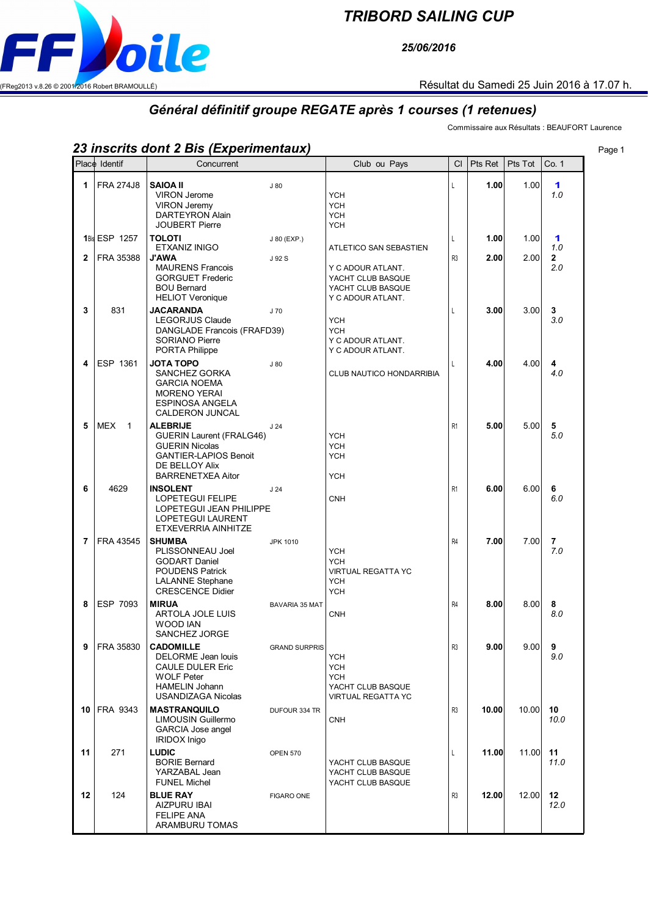## *TRIBORD SAILING CUP*

*25/06/2016*



## *Général définitif groupe REGATE après 1 courses (1 retenues)*

Commissaire aux Résultats : BEAUFORT Laurence

## *23 inscrits dont 2 Bis (Experimentaux)* Page 1

|              | Place Identif                | Concurrent                                                                                                                                                |                       | Club ou Pays                                                                                        | CI                  | Pts Ret      | Pts Tot      | Co. 1                           |
|--------------|------------------------------|-----------------------------------------------------------------------------------------------------------------------------------------------------------|-----------------------|-----------------------------------------------------------------------------------------------------|---------------------|--------------|--------------|---------------------------------|
| 1            | <b>FRA 274J8</b>             | <b>SAIOA II</b><br><b>VIRON Jerome</b><br><b>VIRON Jeremy</b><br><b>DARTEYRON Alain</b>                                                                   | J80                   | <b>YCH</b><br><b>YCH</b><br><b>YCH</b>                                                              | L                   | 1.00         | 1.00         | 1<br>1.0                        |
| $\mathbf{2}$ | 1Bis ESP 1257<br>FRA 35388   | <b>JOUBERT Pierre</b><br><b>TOLOTI</b><br>ETXANIZ INIGO<br><b>J'AWA</b><br><b>MAURENS Francois</b><br><b>GORGUET Frederic</b><br><b>BOU Bernard</b>       | J 80 (EXP.)<br>J 92 S | <b>YCH</b><br>ATLETICO SAN SEBASTIEN<br>Y C ADOUR ATLANT.<br>YACHT CLUB BASQUE<br>YACHT CLUB BASQUE | L<br>R <sub>3</sub> | 1.00<br>2.00 | 1.00<br>2.00 | 1<br>1.0<br>$\mathbf{2}$<br>2.0 |
| 3            | 831                          | <b>HELIOT Veronique</b><br><b>JACARANDA</b><br>LEGORJUS Claude<br>DANGLADE Francois (FRAFD39)<br><b>SORIANO Pierre</b><br>PORTA Philippe                  | J 70                  | Y C ADOUR ATLANT.<br><b>YCH</b><br><b>YCH</b><br>Y C ADOUR ATLANT.<br>Y C ADOUR ATLANT.             | L                   | 3.00         | 3.00         | 3<br>3.0                        |
| 4            | ESP 1361                     | <b>JOTA TOPO</b><br>SANCHEZ GORKA<br><b>GARCIA NOEMA</b><br><b>MORENO YERAI</b><br><b>ESPINOSA ANGELA</b><br><b>CALDERON JUNCAL</b>                       | J80                   | CLUB NAUTICO HONDARRIBIA                                                                            | L                   | 4.00         | 4.00         | 4<br>4.0                        |
| 5            | <b>MEX</b><br>$\overline{1}$ | <b>ALEBRIJE</b><br><b>GUERIN Laurent (FRALG46)</b><br><b>GUERIN Nicolas</b><br><b>GANTIER-LAPIOS Benoit</b><br>DE BELLOY Alix<br><b>BARRENETXEA Aitor</b> | J <sub>24</sub>       | <b>YCH</b><br><b>YCH</b><br><b>YCH</b><br><b>YCH</b>                                                | R <sub>1</sub>      | 5.00         | 5.00         | 5<br>5.0                        |
| 6            | 4629                         | <b>INSOLENT</b><br><b>LOPETEGUI FELIPE</b><br>LOPETEGUI JEAN PHILIPPE<br><b>LOPETEGUI LAURENT</b><br>ETXEVERRIA AINHITZE                                  | J <sub>24</sub>       | <b>CNH</b>                                                                                          | R <sub>1</sub>      | 6.00         | 6.00         | 6<br>6.0                        |
| 7            | FRA 43545                    | <b>SHUMBA</b><br>PLISSONNEAU Joel<br><b>GODART Daniel</b><br><b>POUDENS Patrick</b><br><b>LALANNE Stephane</b><br><b>CRESCENCE Didier</b>                 | <b>JPK 1010</b>       | <b>YCH</b><br><b>YCH</b><br><b>VIRTUAL REGATTA YC</b><br><b>YCH</b><br><b>YCH</b>                   | R <sub>4</sub>      | 7.00         | 7.00         | 7<br>7.0                        |
| 8            | ESP 7093                     | <b>MIRUA</b><br>ARTOLA JOLE LUIS<br>WOOD IAN<br>SANCHEZ JORGE                                                                                             | BAVARIA 35 MAT        | <b>CNH</b>                                                                                          | R <sub>4</sub>      | 8.00         | 8.00         | 8<br>8.0                        |
| 9            | FRA 35830                    | <b>CADOMILLE</b><br>DELORME Jean louis<br><b>CAULE DULER Eric</b><br><b>WOLF Peter</b><br><b>HAMELIN Johann</b><br><b>USANDIZAGA Nicolas</b>              | <b>GRAND SURPRIS</b>  | <b>YCH</b><br><b>YCH</b><br><b>YCH</b><br>YACHT CLUB BASQUE<br>VIRTUAL REGATTA YC                   | R3                  | 9.00         | 9.00         | 9<br>9.0                        |
| 10 I         | FRA 9343                     | <b>MASTRANQUILO</b><br><b>LIMOUSIN Guillermo</b><br>GARCIA Jose angel<br><b>IRIDOX Inigo</b>                                                              | DUFOUR 334 TR         | <b>CNH</b>                                                                                          | R <sub>3</sub>      | 10.00        | 10.00        | 10<br>10.0                      |
| 11           | 271                          | <b>LUDIC</b><br><b>BORIE Bernard</b><br>YARZABAL Jean<br><b>FUNEL Michel</b>                                                                              | <b>OPEN 570</b>       | YACHT CLUB BASQUE<br>YACHT CLUB BASQUE<br>YACHT CLUB BASQUE                                         | L                   | 11.00        | 11.00        | 11<br>11.0                      |
| 12           | 124                          | <b>BLUE RAY</b><br><b>AIZPURU IBAI</b><br><b>FELIPE ANA</b><br>ARAMBURU TOMAS                                                                             | <b>FIGARO ONE</b>     |                                                                                                     | R <sub>3</sub>      | 12.00        | 12.00        | $12 \,$<br>12.0                 |